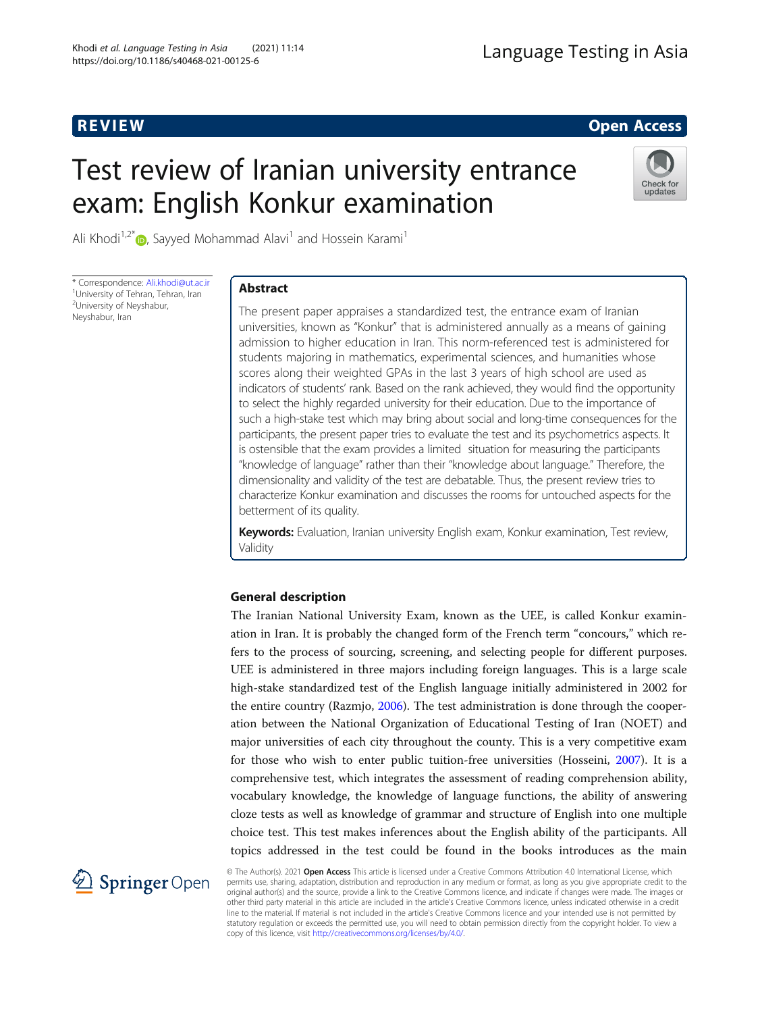**REVIEW CONSTRUCTION CONSTRUCTION CONSTRUCTS** 

# Test review of Iranian university entrance exam: English Konkur examination



Ali Khodi<sup>1,2[\\*](http://orcid.org/0000-0002-5691-5387)</sup> $\bullet$ , Sayyed Mohammad Alavi<sup>1</sup> and Hossein Karami<sup>1</sup>

\* Correspondence: [Ali.khodi@ut.ac.ir](mailto:Ali.khodi@ut.ac.ir) <sup>1</sup> <sup>1</sup>University of Tehran, Tehran, Iran <sup>2</sup>University of Neyshabur, Neyshabur, Iran

# Abstract

The present paper appraises a standardized test, the entrance exam of Iranian universities, known as "Konkur" that is administered annually as a means of gaining admission to higher education in Iran. This norm-referenced test is administered for students majoring in mathematics, experimental sciences, and humanities whose scores along their weighted GPAs in the last 3 years of high school are used as indicators of students' rank. Based on the rank achieved, they would find the opportunity to select the highly regarded university for their education. Due to the importance of such a high-stake test which may bring about social and long-time consequences for the participants, the present paper tries to evaluate the test and its psychometrics aspects. It is ostensible that the exam provides a limited situation for measuring the participants "knowledge of language" rather than their "knowledge about language." Therefore, the dimensionality and validity of the test are debatable. Thus, the present review tries to characterize Konkur examination and discusses the rooms for untouched aspects for the betterment of its quality.

Keywords: Evaluation, Iranian university English exam, Konkur examination, Test review, Validity

# General description

The Iranian National University Exam, known as the UEE, is called Konkur examination in Iran. It is probably the changed form of the French term "concours," which refers to the process of sourcing, screening, and selecting people for different purposes. UEE is administered in three majors including foreign languages. This is a large scale high-stake standardized test of the English language initially administered in 2002 for the entire country (Razmjo, [2006\)](#page-9-0). The test administration is done through the cooperation between the National Organization of Educational Testing of Iran (NOET) and major universities of each city throughout the county. This is a very competitive exam for those who wish to enter public tuition-free universities (Hosseini, [2007](#page-9-0)). It is a comprehensive test, which integrates the assessment of reading comprehension ability, vocabulary knowledge, the knowledge of language functions, the ability of answering cloze tests as well as knowledge of grammar and structure of English into one multiple choice test. This test makes inferences about the English ability of the participants. All topics addressed in the test could be found in the books introduces as the main



© The Author(s). 2021 Open Access This article is licensed under a Creative Commons Attribution 4.0 International License, which permits use, sharing, adaptation, distribution and reproduction in any medium or format, as long as you give appropriate credit to the original author(s) and the source, provide a link to the Creative Commons licence, and indicate if changes were made. The images or other third party material in this article are included in the article's Creative Commons licence, unless indicated otherwise in a credit line to the material. If material is not included in the article's Creative Commons licence and your intended use is not permitted by statutory regulation or exceeds the permitted use, you will need to obtain permission directly from the copyright holder. To view a copy of this licence, visit <http://creativecommons.org/licenses/by/4.0/>.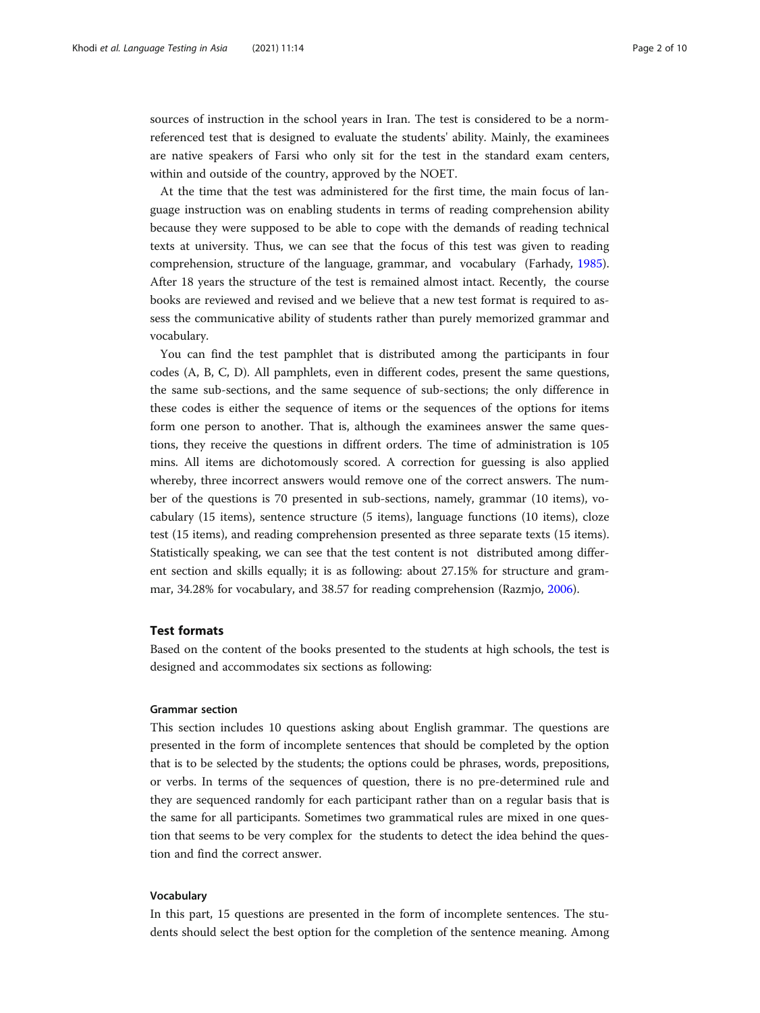sources of instruction in the school years in Iran. The test is considered to be a normreferenced test that is designed to evaluate the students' ability. Mainly, the examinees are native speakers of Farsi who only sit for the test in the standard exam centers, within and outside of the country, approved by the NOET.

At the time that the test was administered for the first time, the main focus of language instruction was on enabling students in terms of reading comprehension ability because they were supposed to be able to cope with the demands of reading technical texts at university. Thus, we can see that the focus of this test was given to reading comprehension, structure of the language, grammar, and vocabulary (Farhady, [1985](#page-9-0)). After 18 years the structure of the test is remained almost intact. Recently, the course books are reviewed and revised and we believe that a new test format is required to assess the communicative ability of students rather than purely memorized grammar and vocabulary.

You can find the test pamphlet that is distributed among the participants in four codes (A, B, C, D). All pamphlets, even in different codes, present the same questions, the same sub-sections, and the same sequence of sub-sections; the only difference in these codes is either the sequence of items or the sequences of the options for items form one person to another. That is, although the examinees answer the same questions, they receive the questions in diffrent orders. The time of administration is 105 mins. All items are dichotomously scored. A correction for guessing is also applied whereby, three incorrect answers would remove one of the correct answers. The number of the questions is 70 presented in sub-sections, namely, grammar (10 items), vocabulary (15 items), sentence structure (5 items), language functions (10 items), cloze test (15 items), and reading comprehension presented as three separate texts (15 items). Statistically speaking, we can see that the test content is not distributed among different section and skills equally; it is as following: about 27.15% for structure and grammar, 34.28% for vocabulary, and 38.57 for reading comprehension (Razmjo, [2006](#page-9-0)).

## Test formats

Based on the content of the books presented to the students at high schools, the test is designed and accommodates six sections as following:

## Grammar section

This section includes 10 questions asking about English grammar. The questions are presented in the form of incomplete sentences that should be completed by the option that is to be selected by the students; the options could be phrases, words, prepositions, or verbs. In terms of the sequences of question, there is no pre-determined rule and they are sequenced randomly for each participant rather than on a regular basis that is the same for all participants. Sometimes two grammatical rules are mixed in one question that seems to be very complex for the students to detect the idea behind the question and find the correct answer.

## Vocabulary

In this part, 15 questions are presented in the form of incomplete sentences. The students should select the best option for the completion of the sentence meaning. Among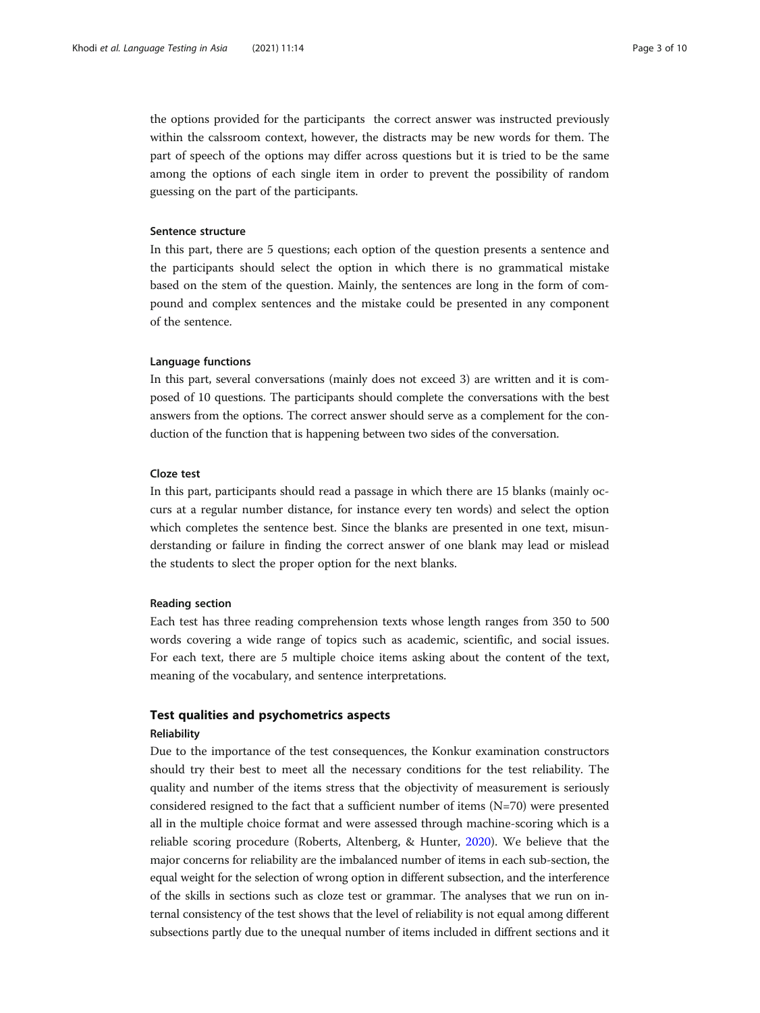the options provided for the participants the correct answer was instructed previously within the calssroom context, however, the distracts may be new words for them. The part of speech of the options may differ across questions but it is tried to be the same among the options of each single item in order to prevent the possibility of random guessing on the part of the participants.

## Sentence structure

In this part, there are 5 questions; each option of the question presents a sentence and the participants should select the option in which there is no grammatical mistake based on the stem of the question. Mainly, the sentences are long in the form of compound and complex sentences and the mistake could be presented in any component of the sentence.

### Language functions

In this part, several conversations (mainly does not exceed 3) are written and it is composed of 10 questions. The participants should complete the conversations with the best answers from the options. The correct answer should serve as a complement for the conduction of the function that is happening between two sides of the conversation.

## Cloze test

In this part, participants should read a passage in which there are 15 blanks (mainly occurs at a regular number distance, for instance every ten words) and select the option which completes the sentence best. Since the blanks are presented in one text, misunderstanding or failure in finding the correct answer of one blank may lead or mislead the students to slect the proper option for the next blanks.

#### Reading section

Each test has three reading comprehension texts whose length ranges from 350 to 500 words covering a wide range of topics such as academic, scientific, and social issues. For each text, there are 5 multiple choice items asking about the content of the text, meaning of the vocabulary, and sentence interpretations.

## Test qualities and psychometrics aspects

## **Reliability**

Due to the importance of the test consequences, the Konkur examination constructors should try their best to meet all the necessary conditions for the test reliability. The quality and number of the items stress that the objectivity of measurement is seriously considered resigned to the fact that a sufficient number of items (N=70) were presented all in the multiple choice format and were assessed through machine-scoring which is a reliable scoring procedure (Roberts, Altenberg, & Hunter, [2020\)](#page-9-0). We believe that the major concerns for reliability are the imbalanced number of items in each sub-section, the equal weight for the selection of wrong option in different subsection, and the interference of the skills in sections such as cloze test or grammar. The analyses that we run on internal consistency of the test shows that the level of reliability is not equal among different subsections partly due to the unequal number of items included in diffrent sections and it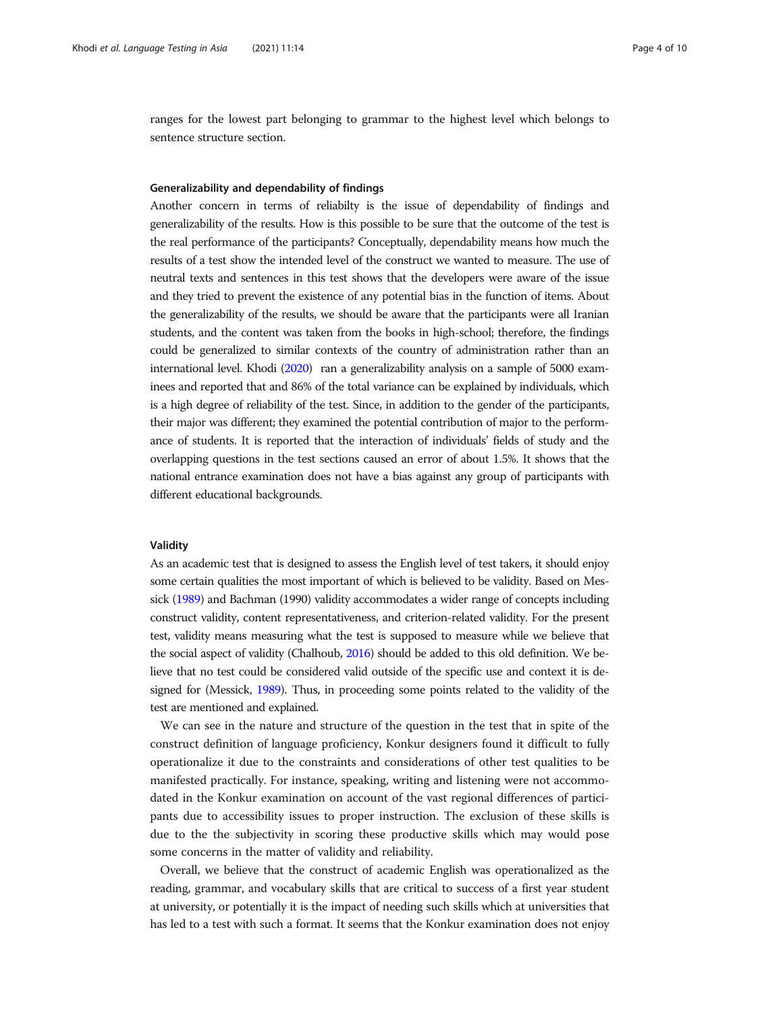ranges for the lowest part belonging to grammar to the highest level which belongs to sentence structure section.

#### Generalizability and dependability of findings

Another concern in terms of reliabilty is the issue of dependability of findings and generalizability of the results. How is this possible to be sure that the outcome of the test is the real performance of the participants? Conceptually, dependability means how much the results of a test show the intended level of the construct we wanted to measure. The use of neutral texts and sentences in this test shows that the developers were aware of the issue and they tried to prevent the existence of any potential bias in the function of items. About the generalizability of the results, we should be aware that the participants were all Iranian students, and the content was taken from the books in high-school; therefore, the findings could be generalized to similar contexts of the country of administration rather than an international level. Khodi [\(2020\)](#page-9-0) ran a generalizability analysis on a sample of 5000 examinees and reported that and 86% of the total variance can be explained by individuals, which is a high degree of reliability of the test. Since, in addition to the gender of the participants, their major was different; they examined the potential contribution of major to the performance of students. It is reported that the interaction of individuals' fields of study and the overlapping questions in the test sections caused an error of about 1.5%. It shows that the national entrance examination does not have a bias against any group of participants with different educational backgrounds.

### Validity

As an academic test that is designed to assess the English level of test takers, it should enjoy some certain qualities the most important of which is believed to be validity. Based on Messick [\(1989](#page-9-0)) and Bachman (1990) validity accommodates a wider range of concepts including construct validity, content representativeness, and criterion-related validity. For the present test, validity means measuring what the test is supposed to measure while we believe that the social aspect of validity (Chalhoub, [2016](#page-9-0)) should be added to this old definition. We believe that no test could be considered valid outside of the specific use and context it is designed for (Messick, [1989](#page-9-0)). Thus, in proceeding some points related to the validity of the test are mentioned and explained.

We can see in the nature and structure of the question in the test that in spite of the construct definition of language proficiency, Konkur designers found it difficult to fully operationalize it due to the constraints and considerations of other test qualities to be manifested practically. For instance, speaking, writing and listening were not accommodated in the Konkur examination on account of the vast regional differences of participants due to accessibility issues to proper instruction. The exclusion of these skills is due to the the subjectivity in scoring these productive skills which may would pose some concerns in the matter of validity and reliability.

Overall, we believe that the construct of academic English was operationalized as the reading, grammar, and vocabulary skills that are critical to success of a first year student at university, or potentially it is the impact of needing such skills which at universities that has led to a test with such a format. It seems that the Konkur examination does not enjoy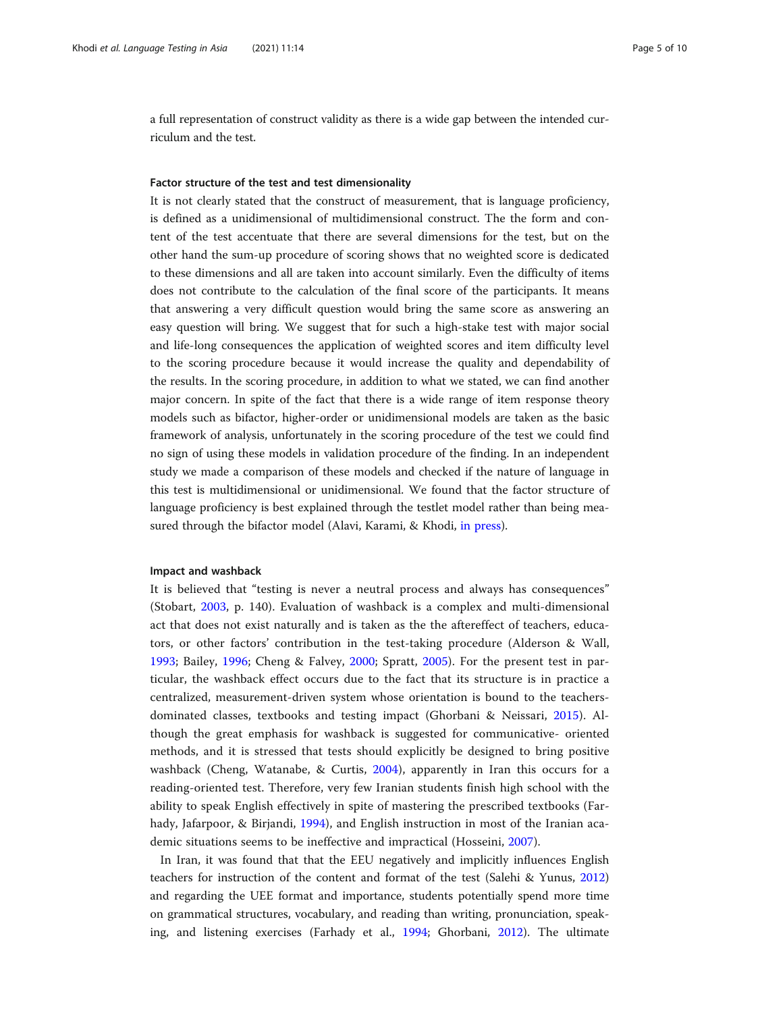a full representation of construct validity as there is a wide gap between the intended curriculum and the test.

## Factor structure of the test and test dimensionality

It is not clearly stated that the construct of measurement, that is language proficiency, is defined as a unidimensional of multidimensional construct. The the form and content of the test accentuate that there are several dimensions for the test, but on the other hand the sum-up procedure of scoring shows that no weighted score is dedicated to these dimensions and all are taken into account similarly. Even the difficulty of items does not contribute to the calculation of the final score of the participants. It means that answering a very difficult question would bring the same score as answering an easy question will bring. We suggest that for such a high-stake test with major social and life-long consequences the application of weighted scores and item difficulty level to the scoring procedure because it would increase the quality and dependability of the results. In the scoring procedure, in addition to what we stated, we can find another major concern. In spite of the fact that there is a wide range of item response theory models such as bifactor, higher-order or unidimensional models are taken as the basic framework of analysis, unfortunately in the scoring procedure of the test we could find no sign of using these models in validation procedure of the finding. In an independent study we made a comparison of these models and checked if the nature of language in this test is multidimensional or unidimensional. We found that the factor structure of language proficiency is best explained through the testlet model rather than being measured through the bifactor model (Alavi, Karami, & Khodi, [in press\)](#page-9-0).

### Impact and washback

It is believed that "testing is never a neutral process and always has consequences" (Stobart, [2003](#page-9-0), p. 140). Evaluation of washback is a complex and multi-dimensional act that does not exist naturally and is taken as the the aftereffect of teachers, educators, or other factors' contribution in the test-taking procedure (Alderson & Wall, [1993;](#page-9-0) Bailey, [1996](#page-9-0); Cheng & Falvey, [2000](#page-9-0); Spratt, [2005](#page-9-0)). For the present test in particular, the washback effect occurs due to the fact that its structure is in practice a centralized, measurement-driven system whose orientation is bound to the teachersdominated classes, textbooks and testing impact (Ghorbani & Neissari, [2015\)](#page-9-0). Although the great emphasis for washback is suggested for communicative- oriented methods, and it is stressed that tests should explicitly be designed to bring positive washback (Cheng, Watanabe, & Curtis, [2004](#page-9-0)), apparently in Iran this occurs for a reading-oriented test. Therefore, very few Iranian students finish high school with the ability to speak English effectively in spite of mastering the prescribed textbooks (Far-hady, Jafarpoor, & Birjandi, [1994](#page-9-0)), and English instruction in most of the Iranian academic situations seems to be ineffective and impractical (Hosseini, [2007](#page-9-0)).

In Iran, it was found that that the EEU negatively and implicitly influences English teachers for instruction of the content and format of the test (Salehi & Yunus, [2012](#page-9-0)) and regarding the UEE format and importance, students potentially spend more time on grammatical structures, vocabulary, and reading than writing, pronunciation, speaking, and listening exercises (Farhady et al., [1994](#page-9-0); Ghorbani, [2012](#page-9-0)). The ultimate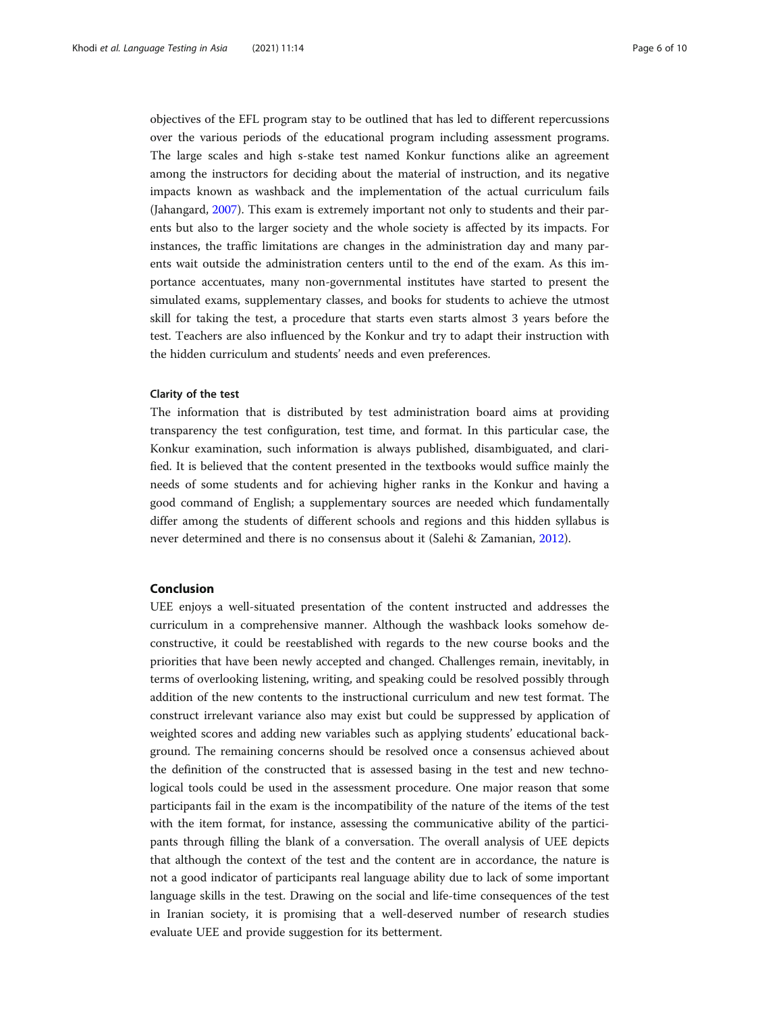objectives of the EFL program stay to be outlined that has led to different repercussions over the various periods of the educational program including assessment programs. The large scales and high s-stake test named Konkur functions alike an agreement among the instructors for deciding about the material of instruction, and its negative impacts known as washback and the implementation of the actual curriculum fails (Jahangard, [2007](#page-9-0)). This exam is extremely important not only to students and their parents but also to the larger society and the whole society is affected by its impacts. For instances, the traffic limitations are changes in the administration day and many parents wait outside the administration centers until to the end of the exam. As this importance accentuates, many non-governmental institutes have started to present the simulated exams, supplementary classes, and books for students to achieve the utmost skill for taking the test, a procedure that starts even starts almost 3 years before the test. Teachers are also influenced by the Konkur and try to adapt their instruction with the hidden curriculum and students' needs and even preferences.

## Clarity of the test

The information that is distributed by test administration board aims at providing transparency the test configuration, test time, and format. In this particular case, the Konkur examination, such information is always published, disambiguated, and clarified. It is believed that the content presented in the textbooks would suffice mainly the needs of some students and for achieving higher ranks in the Konkur and having a good command of English; a supplementary sources are needed which fundamentally differ among the students of different schools and regions and this hidden syllabus is never determined and there is no consensus about it (Salehi & Zamanian, [2012](#page-9-0)).

## Conclusion

UEE enjoys a well-situated presentation of the content instructed and addresses the curriculum in a comprehensive manner. Although the washback looks somehow deconstructive, it could be reestablished with regards to the new course books and the priorities that have been newly accepted and changed. Challenges remain, inevitably, in terms of overlooking listening, writing, and speaking could be resolved possibly through addition of the new contents to the instructional curriculum and new test format. The construct irrelevant variance also may exist but could be suppressed by application of weighted scores and adding new variables such as applying students' educational background. The remaining concerns should be resolved once a consensus achieved about the definition of the constructed that is assessed basing in the test and new technological tools could be used in the assessment procedure. One major reason that some participants fail in the exam is the incompatibility of the nature of the items of the test with the item format, for instance, assessing the communicative ability of the participants through filling the blank of a conversation. The overall analysis of UEE depicts that although the context of the test and the content are in accordance, the nature is not a good indicator of participants real language ability due to lack of some important language skills in the test. Drawing on the social and life-time consequences of the test in Iranian society, it is promising that a well-deserved number of research studies evaluate UEE and provide suggestion for its betterment.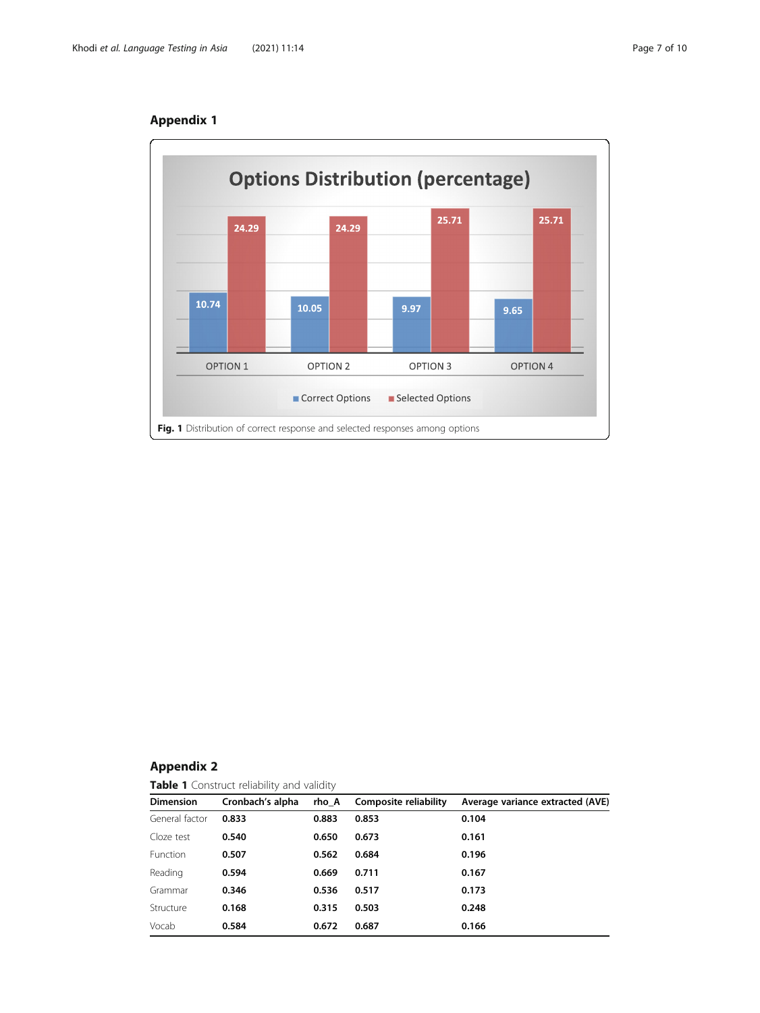

# Appendix 1

## Appendix 2

Table 1 Construct reliability and validity

| <b>Dimension</b> | Cronbach's alpha | rho A | Composite reliability | Average variance extracted (AVE) |  |
|------------------|------------------|-------|-----------------------|----------------------------------|--|
| General factor   | 0.833            | 0.883 | 0.853                 | 0.104                            |  |
| Cloze test       | 0.540            | 0.650 | 0.673                 | 0.161                            |  |
| Function         | 0.507            | 0.562 | 0.684                 | 0.196                            |  |
| Reading          | 0.594            | 0.669 | 0.711                 | 0.167                            |  |
| Grammar          | 0.346            | 0.536 | 0.517                 | 0.173                            |  |
| Structure        | 0.168            | 0.315 | 0.503                 | 0.248                            |  |
| Vocab            | 0.584            | 0.672 | 0.687                 | 0.166                            |  |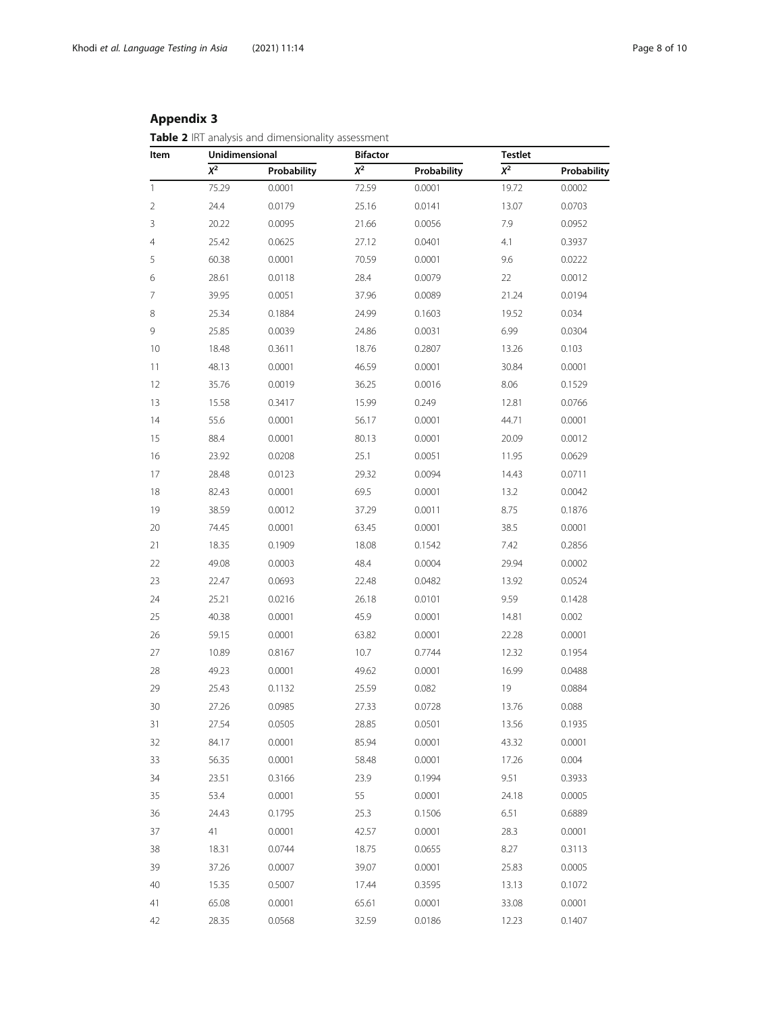# Appendix 3

Table 2 IRT analysis and dimensionality assessment

| Item | Unidimensional |             | <b>Bifactor</b> |             |          | Testlet     |  |
|------|----------------|-------------|-----------------|-------------|----------|-------------|--|
|      | $X^2$          | Probability | $X^2$           | Probability | $\chi^2$ | Probability |  |
| 1    | 75.29          | 0.0001      | 72.59           | 0.0001      | 19.72    | 0.0002      |  |
| 2    | 24.4           | 0.0179      | 25.16           | 0.0141      | 13.07    | 0.0703      |  |
| 3    | 20.22          | 0.0095      | 21.66           | 0.0056      | 7.9      | 0.0952      |  |
| 4    | 25.42          | 0.0625      | 27.12           | 0.0401      | 4.1      | 0.3937      |  |
| 5    | 60.38          | 0.0001      | 70.59           | 0.0001      | 9.6      | 0.0222      |  |
| 6    | 28.61          | 0.0118      | 28.4            | 0.0079      | 22       | 0.0012      |  |
| 7    | 39.95          | 0.0051      | 37.96           | 0.0089      | 21.24    | 0.0194      |  |
| 8    | 25.34          | 0.1884      | 24.99           | 0.1603      | 19.52    | 0.034       |  |
| 9    | 25.85          | 0.0039      | 24.86           | 0.0031      | 6.99     | 0.0304      |  |
| 10   | 18.48          | 0.3611      | 18.76           | 0.2807      | 13.26    | 0.103       |  |
| 11   | 48.13          | 0.0001      | 46.59           | 0.0001      | 30.84    | 0.0001      |  |
| 12   | 35.76          | 0.0019      | 36.25           | 0.0016      | 8.06     | 0.1529      |  |
| 13   | 15.58          | 0.3417      | 15.99           | 0.249       | 12.81    | 0.0766      |  |
| 14   | 55.6           | 0.0001      | 56.17           | 0.0001      | 44.71    | 0.0001      |  |
| 15   | 88.4           | 0.0001      | 80.13           | 0.0001      | 20.09    | 0.0012      |  |
| 16   | 23.92          | 0.0208      | 25.1            | 0.0051      | 11.95    | 0.0629      |  |
| 17   | 28.48          | 0.0123      | 29.32           | 0.0094      | 14.43    | 0.0711      |  |
| 18   | 82.43          | 0.0001      | 69.5            | 0.0001      | 13.2     | 0.0042      |  |
| 19   | 38.59          | 0.0012      | 37.29           | 0.0011      | 8.75     | 0.1876      |  |
| 20   | 74.45          | 0.0001      | 63.45           | 0.0001      | 38.5     | 0.0001      |  |
| 21   | 18.35          | 0.1909      | 18.08           | 0.1542      | 7.42     | 0.2856      |  |
| 22   | 49.08          | 0.0003      | 48.4            | 0.0004      | 29.94    | 0.0002      |  |
| 23   | 22.47          | 0.0693      | 22.48           | 0.0482      | 13.92    | 0.0524      |  |
| 24   | 25.21          | 0.0216      | 26.18           | 0.0101      | 9.59     | 0.1428      |  |
| 25   | 40.38          | 0.0001      | 45.9            | 0.0001      | 14.81    | 0.002       |  |
| 26   | 59.15          | 0.0001      | 63.82           | 0.0001      | 22.28    | 0.0001      |  |
| 27   | 10.89          | 0.8167      | 10.7            | 0.7744      | 12.32    | 0.1954      |  |
| 28   | 49.23          | 0.0001      | 49.62           | 0.0001      | 16.99    | 0.0488      |  |
| 29   | 25.43          | 0.1132      | 25.59           | 0.082       | 19       | 0.0884      |  |
| 30   | 27.26          | 0.0985      | 27.33           | 0.0728      | 13.76    | 0.088       |  |
| 31   | 27.54          | 0.0505      | 28.85           | 0.0501      | 13.56    | 0.1935      |  |
| 32   | 84.17          | 0.0001      | 85.94           | 0.0001      | 43.32    | 0.0001      |  |
| 33   | 56.35          | 0.0001      | 58.48           | 0.0001      | 17.26    | 0.004       |  |
| 34   | 23.51          | 0.3166      | 23.9            | 0.1994      | 9.51     | 0.3933      |  |
| 35   | 53.4           | 0.0001      | 55              | 0.0001      | 24.18    | 0.0005      |  |
| 36   | 24.43          | 0.1795      | 25.3            | 0.1506      | 6.51     | 0.6889      |  |
| 37   | 41             | 0.0001      | 42.57           | 0.0001      | 28.3     | 0.0001      |  |
| 38   | 18.31          | 0.0744      | 18.75           | 0.0655      | 8.27     | 0.3113      |  |
| 39   | 37.26          | 0.0007      | 39.07           | 0.0001      | 25.83    | 0.0005      |  |
| 40   | 15.35          | 0.5007      | 17.44           | 0.3595      | 13.13    | 0.1072      |  |
| 41   | 65.08          | 0.0001      | 65.61           | 0.0001      | 33.08    | 0.0001      |  |
| 42   | 28.35          | 0.0568      | 32.59           | 0.0186      | 12.23    | 0.1407      |  |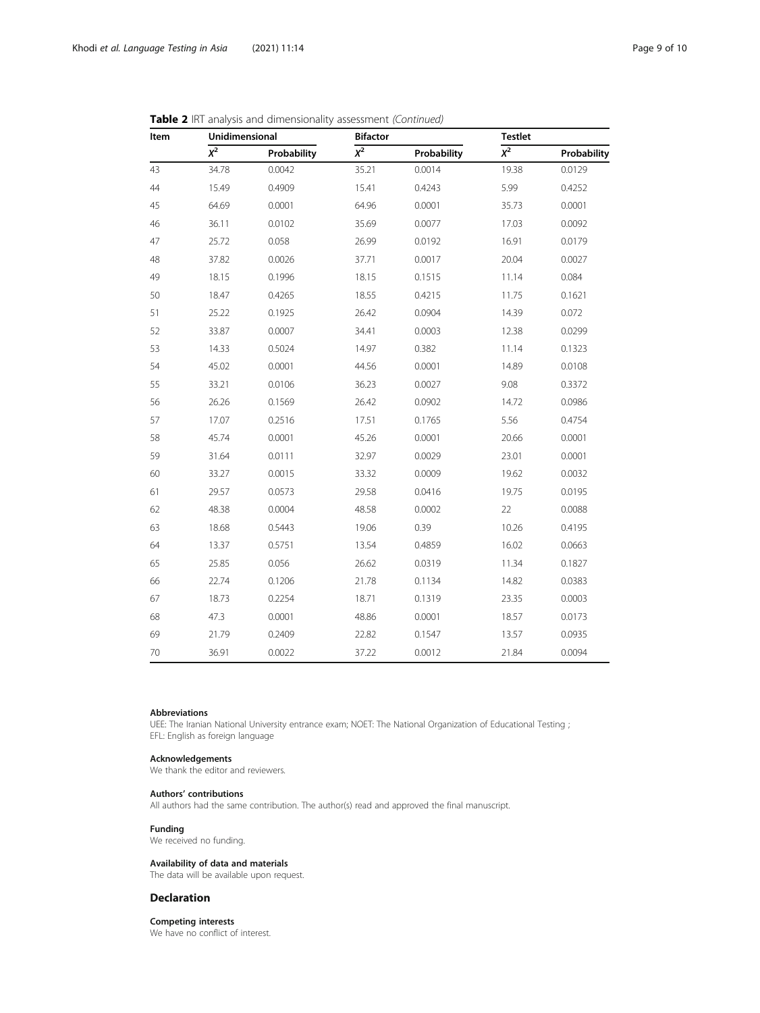| Item | Unidimensional |             | <b>Bifactor</b>  |             |                  | <b>Testlet</b> |  |
|------|----------------|-------------|------------------|-------------|------------------|----------------|--|
|      | $\chi^2$       | Probability | $\overline{x^2}$ | Probability | $\overline{x^2}$ | Probability    |  |
| 43   | 34.78          | 0.0042      | 35.21            | 0.0014      | 19.38            | 0.0129         |  |
| 44   | 15.49          | 0.4909      | 15.41            | 0.4243      | 5.99             | 0.4252         |  |
| 45   | 64.69          | 0.0001      | 64.96            | 0.0001      | 35.73            | 0.0001         |  |
| 46   | 36.11          | 0.0102      | 35.69            | 0.0077      | 17.03            | 0.0092         |  |
| 47   | 25.72          | 0.058       | 26.99            | 0.0192      | 16.91            | 0.0179         |  |
| 48   | 37.82          | 0.0026      | 37.71            | 0.0017      | 20.04            | 0.0027         |  |
| 49   | 18.15          | 0.1996      | 18.15            | 0.1515      | 11.14            | 0.084          |  |
| 50   | 18.47          | 0.4265      | 18.55            | 0.4215      | 11.75            | 0.1621         |  |
| 51   | 25.22          | 0.1925      | 26.42            | 0.0904      | 14.39            | 0.072          |  |
| 52   | 33.87          | 0.0007      | 34.41            | 0.0003      | 12.38            | 0.0299         |  |
| 53   | 14.33          | 0.5024      | 14.97            | 0.382       | 11.14            | 0.1323         |  |
| 54   | 45.02          | 0.0001      | 44.56            | 0.0001      | 14.89            | 0.0108         |  |
| 55   | 33.21          | 0.0106      | 36.23            | 0.0027      | 9.08             | 0.3372         |  |
| 56   | 26.26          | 0.1569      | 26.42            | 0.0902      | 14.72            | 0.0986         |  |
| 57   | 17.07          | 0.2516      | 17.51            | 0.1765      | 5.56             | 0.4754         |  |
| 58   | 45.74          | 0.0001      | 45.26            | 0.0001      | 20.66            | 0.0001         |  |
| 59   | 31.64          | 0.0111      | 32.97            | 0.0029      | 23.01            | 0.0001         |  |
| 60   | 33.27          | 0.0015      | 33.32            | 0.0009      | 19.62            | 0.0032         |  |
| 61   | 29.57          | 0.0573      | 29.58            | 0.0416      | 19.75            | 0.0195         |  |
| 62   | 48.38          | 0.0004      | 48.58            | 0.0002      | 22               | 0.0088         |  |
| 63   | 18.68          | 0.5443      | 19.06            | 0.39        | 10.26            | 0.4195         |  |
| 64   | 13.37          | 0.5751      | 13.54            | 0.4859      | 16.02            | 0.0663         |  |
| 65   | 25.85          | 0.056       | 26.62            | 0.0319      | 11.34            | 0.1827         |  |
| 66   | 22.74          | 0.1206      | 21.78            | 0.1134      | 14.82            | 0.0383         |  |
| 67   | 18.73          | 0.2254      | 18.71            | 0.1319      | 23.35            | 0.0003         |  |
| 68   | 47.3           | 0.0001      | 48.86            | 0.0001      | 18.57            | 0.0173         |  |
| 69   | 21.79          | 0.2409      | 22.82            | 0.1547      | 13.57            | 0.0935         |  |
| 70   | 36.91          | 0.0022      | 37.22            | 0.0012      | 21.84            | 0.0094         |  |

## Table 2 IRT analysis and dimensionality assessment (Continued)

## Abbreviations

UEE: The Iranian National University entrance exam; NOET: The National Organization of Educational Testing ; EFL: English as foreign language

#### Acknowledgements

We thank the editor and reviewers.

#### Authors' contributions

All authors had the same contribution. The author(s) read and approved the final manuscript.

## Funding

We received no funding.

### Availability of data and materials

The data will be available upon request.

## Declaration

Competing interests We have no conflict of interest.